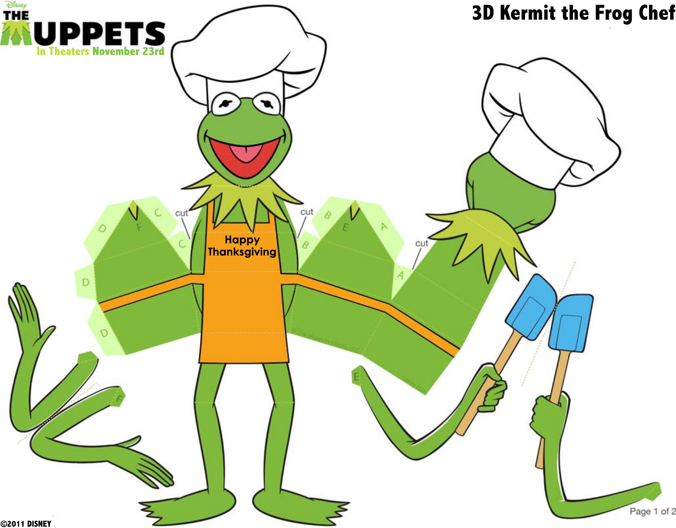